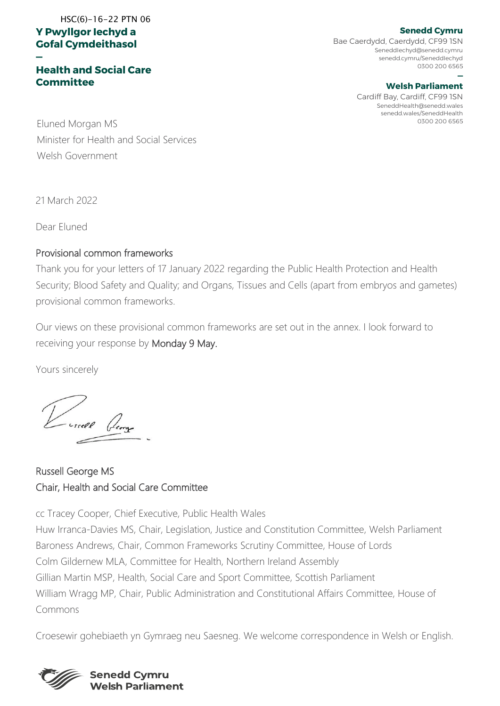#### **Y Pwyllgor Iechyd a Gofal Cymdeithasol**  HSC(6)-16-22 PTN 06

#### **— Health and Social Care Committee**

Bae Caerdydd, Caerdydd, CF99 1SN SeneddIechyd@senedd.cymru senedd.cymru/SeneddIechyd 0300 200 6565

#### **— Welsh Parliament**

Cardiff Bay, Cardiff, CF99 1SN SeneddHealth@senedd.wales senedd.wales/SeneddHealth

0300 200 6565 Eluned Morgan MS Minister for Health and Social Services Welsh Government

21 March 2022

Dear Eluned

#### Provisional common frameworks

Thank you for your letters of 17 January 2022 regarding the Public Health Protection and Health Security; Blood Safety and Quality; and Organs, Tissues and Cells (apart from embryos and gametes) provisional common frameworks.

Our views on these provisional common frameworks are set out in the annex. I look forward to receiving your response by Monday 9 May.

Yours sincerely

Lussell George

Russell George MS Chair, Health and Social Care Committee

cc Tracey Cooper, Chief Executive, Public Health Wales Huw Irranca-Davies MS, Chair, Legislation, Justice and Constitution Committee, Welsh Parliament Baroness Andrews, Chair, Common Frameworks Scrutiny Committee, House of Lords Colm Gildernew MLA, Committee for Health, Northern Ireland Assembly Gillian Martin MSP, Health, Social Care and Sport Committee, Scottish Parliament William Wragg MP, Chair, Public Administration and Constitutional Affairs Committee, House of Commons

Croesewir gohebiaeth yn Gymraeg neu Saesneg. We welcome correspondence in Welsh or English.



#### **Senedd Cymru**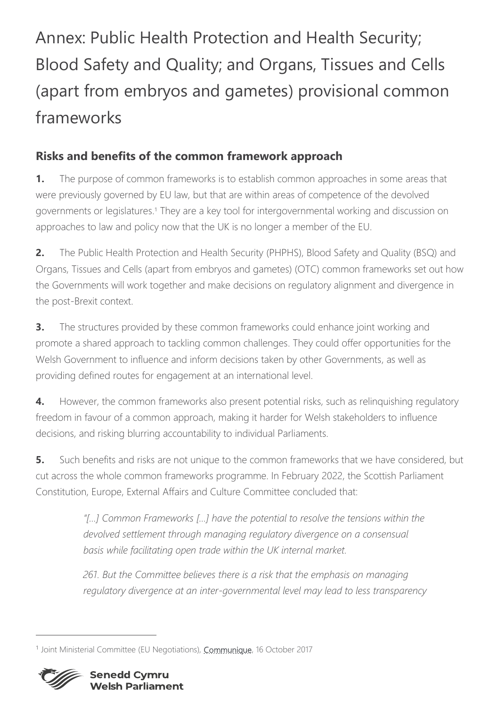# Annex: Public Health Protection and Health Security; Blood Safety and Quality; and Organs, Tissues and Cells (apart from embryos and gametes) provisional common frameworks

## **Risks and benefits of the common framework approach**

**1.** The purpose of common frameworks is to establish common approaches in some areas that were previously governed by EU law, but that are within areas of competence of the devolved governments or legislatures. <sup>1</sup> They are a key tool for intergovernmental working and discussion on approaches to law and policy now that the UK is no longer a member of the EU.

**2.** The Public Health Protection and Health Security (PHPHS), Blood Safety and Quality (BSQ) and Organs, Tissues and Cells (apart from embryos and gametes) (OTC) common frameworks set out how the Governments will work together and make decisions on regulatory alignment and divergence in the post-Brexit context.

**3.** The structures provided by these common frameworks could enhance joint working and promote a shared approach to tackling common challenges. They could offer opportunities for the Welsh Government to influence and inform decisions taken by other Governments, as well as providing defined routes for engagement at an international level.

**4.** However, the common frameworks also present potential risks, such as relinquishing regulatory freedom in favour of a common approach, making it harder for Welsh stakeholders to influence decisions, and risking blurring accountability to individual Parliaments.

**5.** Such benefits and risks are not unique to the common frameworks that we have considered, but cut across the whole common frameworks programme. In February 2022, the Scottish Parliament Constitution, Europe, External Affairs and Culture Committee concluded that:

> *"[…] Common Frameworks […] have the potential to resolve the tensions within the devolved settlement through managing regulatory divergence on a consensual basis while facilitating open trade within the UK internal market.*

> *261. But the Committee believes there is a risk that the emphasis on managing regulatory divergence at an inter-governmental level may lead to less transparency*

<sup>&</sup>lt;sup>1</sup> Joint Ministerial Committee (EU Negotiations), *Communique*, 16 October 2017

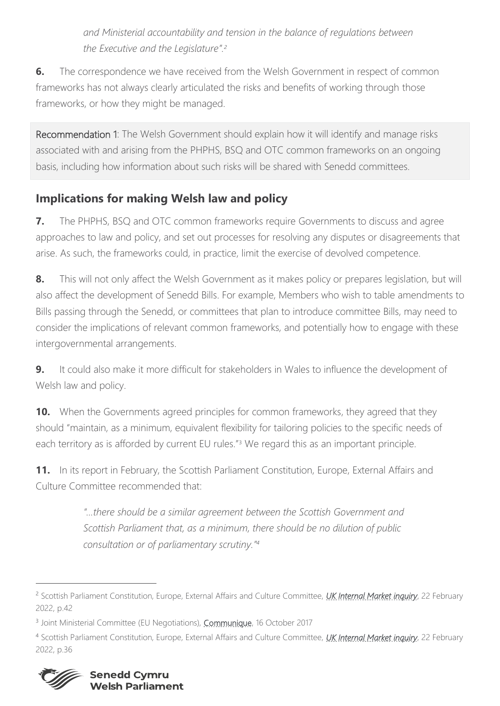*and Ministerial accountability and tension in the balance of regulations between the Executive and the Legislature". 2*

**6.** The correspondence we have received from the Welsh Government in respect of common frameworks has not always clearly articulated the risks and benefits of working through those frameworks, or how they might be managed.

Recommendation 1: The Welsh Government should explain how it will identify and manage risks associated with and arising from the PHPHS, BSQ and OTC common frameworks on an ongoing basis, including how information about such risks will be shared with Senedd committees.

## **Implications for making Welsh law and policy**

**7.** The PHPHS, BSQ and OTC common frameworks require Governments to discuss and agree approaches to law and policy, and set out processes for resolving any disputes or disagreements that arise. As such, the frameworks could, in practice, limit the exercise of devolved competence.

**8.** This will not only affect the Welsh Government as it makes policy or prepares legislation, but will also affect the development of Senedd Bills. For example, Members who wish to table amendments to Bills passing through the Senedd, or committees that plan to introduce committee Bills, may need to consider the implications of relevant common frameworks, and potentially how to engage with these intergovernmental arrangements.

**9.** It could also make it more difficult for stakeholders in Wales to influence the development of Welsh law and policy.

**10.** When the Governments agreed principles for common frameworks, they agreed that they should "maintain, as a minimum, equivalent flexibility for tailoring policies to the specific needs of each territory as is afforded by current EU rules."<sup>3</sup> We regard this as an important principle.

**11.** In its report in February, the Scottish Parliament Constitution, Europe, External Affairs and Culture Committee recommended that:

> *"…there should be a similar agreement between the Scottish Government and Scottish Parliament that, as a minimum, there should be no dilution of public consultation or of parliamentary scrutiny." 4*

<sup>4</sup> Scottish Parliament Constitution, Europe, External Affairs and Culture Committee, *[UK Internal Market inquiry](https://sp-bpr-en-prod-cdnep.azureedge.net/published/CEEAC/2022/2/22/73682bfb-fb43-47e5-b206-b79ec5e28262-1/CEEACS052022R1.pdf)*, 22 February 2022, p.36



<sup>2</sup> Scottish Parliament Constitution, Europe, External Affairs and Culture Committee, *[UK Internal Market inquiry](https://sp-bpr-en-prod-cdnep.azureedge.net/published/CEEAC/2022/2/22/73682bfb-fb43-47e5-b206-b79ec5e28262-1/CEEACS052022R1.pdf)*, 22 February 2022, p.42

<sup>&</sup>lt;sup>3</sup> Joint Ministerial Committee (EU Negotiations), *Communique*, 16 October 2017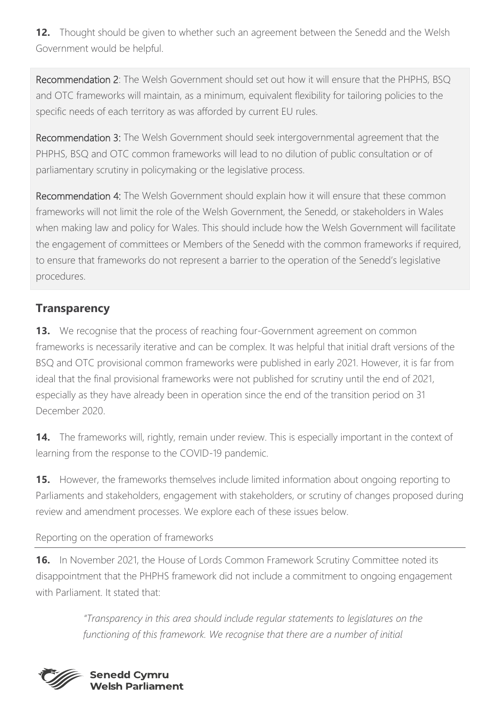**12.** Thought should be given to whether such an agreement between the Senedd and the Welsh Government would be helpful.

Recommendation 2: The Welsh Government should set out how it will ensure that the PHPHS, BSQ and OTC frameworks will maintain, as a minimum, equivalent flexibility for tailoring policies to the specific needs of each territory as was afforded by current EU rules.

Recommendation 3: The Welsh Government should seek intergovernmental agreement that the PHPHS, BSQ and OTC common frameworks will lead to no dilution of public consultation or of parliamentary scrutiny in policymaking or the legislative process.

Recommendation 4: The Welsh Government should explain how it will ensure that these common frameworks will not limit the role of the Welsh Government, the Senedd, or stakeholders in Wales when making law and policy for Wales. This should include how the Welsh Government will facilitate the engagement of committees or Members of the Senedd with the common frameworks if required, to ensure that frameworks do not represent a barrier to the operation of the Senedd's legislative procedures.

## **Transparency**

**13.** We recognise that the process of reaching four-Government agreement on common frameworks is necessarily iterative and can be complex. It was helpful that initial draft versions of the BSQ and OTC provisional common frameworks were published in early 2021. However, it is far from ideal that the final provisional frameworks were not published for scrutiny until the end of 2021, especially as they have already been in operation since the end of the transition period on 31 December 2020.

**14.** The frameworks will, rightly, remain under review. This is especially important in the context of learning from the response to the COVID-19 pandemic.

**15.** However, the frameworks themselves include limited information about ongoing reporting to Parliaments and stakeholders, engagement with stakeholders, or scrutiny of changes proposed during review and amendment processes. We explore each of these issues below.

### Reporting on the operation of frameworks

**16.** In November 2021, the House of Lords Common Framework Scrutiny Committee noted its disappointment that the PHPHS framework did not include a commitment to ongoing engagement with Parliament. It stated that:

> *"Transparency in this area should include regular statements to legislatures on the*  functioning of this framework. We recognise that there are a number of initial

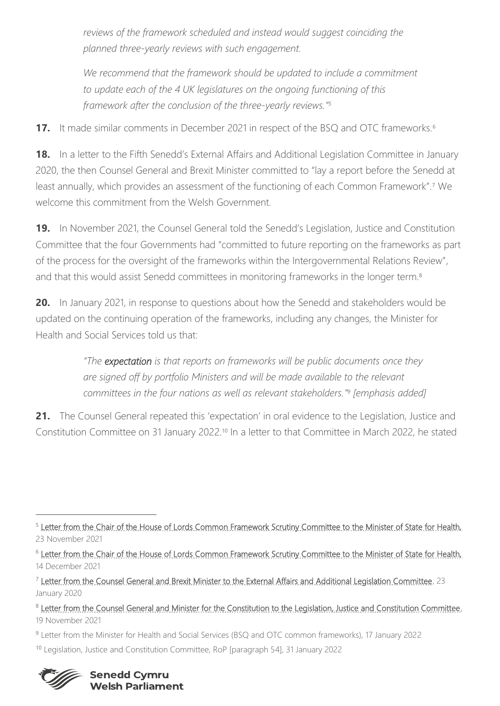reviews of the framework scheduled and instead would suggest coinciding the *planned three-yearly reviews with such engagement.*

We recommend that the framework should be updated to include a commitment *to update each of the 4 UK legislatures on the ongoing functioning of this framework after the conclusion of the three-yearly reviews."<sup>5</sup>*

**17.** It made similar comments in December 2021 in respect of the BSQ and OTC frameworks.<sup>6</sup>

**18.** In a letter to the Fifth Senedd's External Affairs and Additional Legislation Committee in January 2020, the then Counsel General and Brexit Minister committed to "lay a report before the Senedd at least annually, which provides an assessment of the functioning of each Common Framework".<sup>7</sup> We welcome this commitment from the Welsh Government.

**19.** In November 2021, the Counsel General told the Senedd's Legislation, Justice and Constitution Committee that the four Governments had "committed to future reporting on the frameworks as part of the process for the oversight of the frameworks within the Intergovernmental Relations Review", and that this would assist Senedd committees in monitoring frameworks in the longer term.<sup>8</sup>

**20.** In January 2021, in response to questions about how the Senedd and stakeholders would be updated on the continuing operation of the frameworks, including any changes, the Minister for Health and Social Services told us that:

> *"The expectation is that reports on frameworks will be public documents once they are signed off by portfolio Ministers and will be made available to the relevant committees in the four nations as well as relevant stakeholders." 9 [emphasis added]*

21. The Counsel General repeated this 'expectation' in oral evidence to the Legislation, Justice and Constitution Committee on 31 January 2022.<sup>10</sup> In a letter to that Committee in March 2022, he stated

- 9 Letter from the Minister for Health and Social Services (BSQ and OTC common frameworks), 17 January 2022
- <sup>10</sup> Legislation, Justice and Constitution Committee, RoP [paragraph 54], 31 January 2022



<sup>&</sup>lt;sup>5</sup> [Letter from the Chair of the House of Lords Common Framework Scrutiny Committee to the Minister of State for Health,](https://committees.parliament.uk/publications/7962/documents/82284/default/) 23 November 2021

<sup>6</sup> [Letter from the Chair of the House of Lords Common Framework Scrutiny Committee to the Minister of State for Health,](https://committees.parliament.uk/publications/8242/documents/84234/default/) 14 December 2021

<sup>&</sup>lt;sup>7</sup> [Letter from the Counsel General and Brexit Minister to the External Affairs and Additional Legislation Committee,](https://senedd.wales/laid%20documents/gen-ld12989/gen-ld12989%20-e.pdf) 23 January 2020

<sup>&</sup>lt;sup>8</sup> Letter from the Counsel General and Minister for the Constitution to the Legislation, Justice and Constitution Committee, 19 November 2021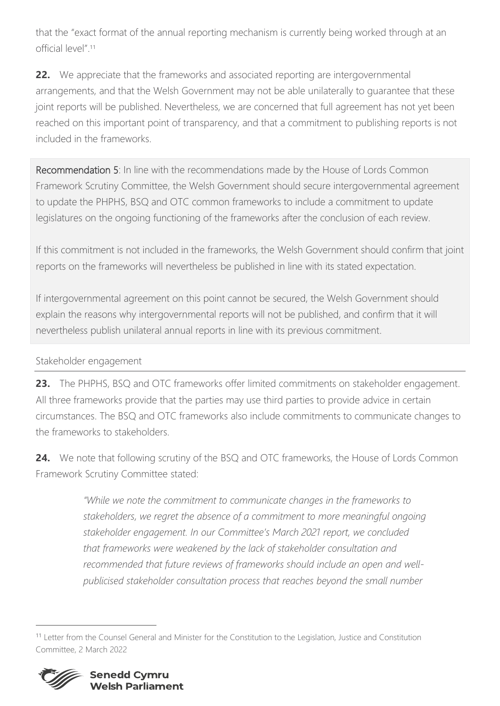that the "exact format of the annual reporting mechanism is currently being worked through at an official level".<sup>11</sup>

**22.** We appreciate that the frameworks and associated reporting are intergovernmental arrangements, and that the Welsh Government may not be able unilaterally to guarantee that these joint reports will be published. Nevertheless, we are concerned that full agreement has not yet been reached on this important point of transparency, and that a commitment to publishing reports is not included in the frameworks.

Recommendation 5: In line with the recommendations made by the House of Lords Common Framework Scrutiny Committee, the Welsh Government should secure intergovernmental agreement to update the PHPHS, BSQ and OTC common frameworks to include a commitment to update legislatures on the ongoing functioning of the frameworks after the conclusion of each review.

If this commitment is not included in the frameworks, the Welsh Government should confirm that joint reports on the frameworks will nevertheless be published in line with its stated expectation.

If intergovernmental agreement on this point cannot be secured, the Welsh Government should explain the reasons why intergovernmental reports will not be published, and confirm that it will nevertheless publish unilateral annual reports in line with its previous commitment.

### Stakeholder engagement

**23.** The PHPHS, BSQ and OTC frameworks offer limited commitments on stakeholder engagement. All three frameworks provide that the parties may use third parties to provide advice in certain circumstances. The BSQ and OTC frameworks also include commitments to communicate changes to the frameworks to stakeholders.

**24.** We note that following scrutiny of the BSQ and OTC frameworks, the House of Lords Common Framework Scrutiny Committee stated:

> *"While we note the commitment to communicate changes in the frameworks to stakeholders, we regret the absence of a commitment to more meaningful ongoing stakeholder engagement. In our Committee's March 2021 report, we concluded that frameworks were weakened by the lack of stakeholder consultation and recommended that future reviews of frameworks should include an open and wellpublicised stakeholder consultation process that reaches beyond the small number*

<sup>11</sup> Letter from the Counsel General and Minister for the Constitution to the Legislation, Justice and Constitution Committee, 2 March 2022

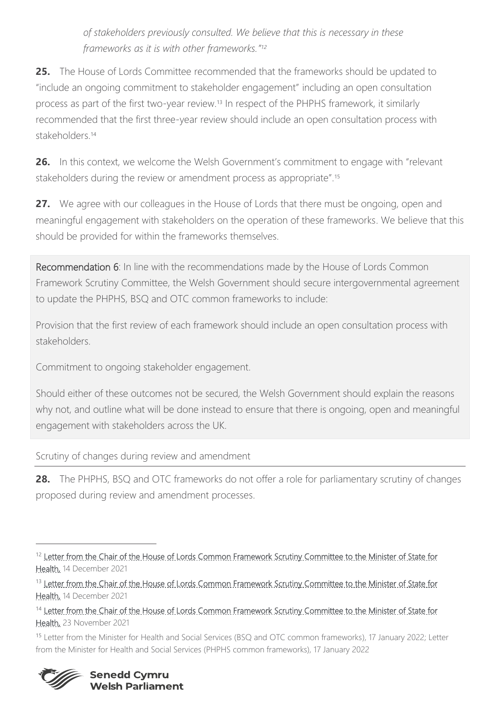*of stakeholders previously consulted. We believe that this is necessary in these frameworks as it is with other frameworks." 12*

**25.** The House of Lords Committee recommended that the frameworks should be updated to "include an ongoing commitment to stakeholder engagement" including an open consultation process as part of the first two-year review. <sup>13</sup> In respect of the PHPHS framework, it similarly recommended that the first three-year review should include an open consultation process with stakeholders.<sup>14</sup>

**26.** In this context, we welcome the Welsh Government's commitment to engage with "relevant stakeholders during the review or amendment process as appropriate".<sup>15</sup>

**27.** We agree with our colleagues in the House of Lords that there must be ongoing, open and meaningful engagement with stakeholders on the operation of these frameworks. We believe that this should be provided for within the frameworks themselves.

Recommendation 6: In line with the recommendations made by the House of Lords Common Framework Scrutiny Committee, the Welsh Government should secure intergovernmental agreement to update the PHPHS, BSQ and OTC common frameworks to include:

Provision that the first review of each framework should include an open consultation process with stakeholders.

Commitment to ongoing stakeholder engagement.

Should either of these outcomes not be secured, the Welsh Government should explain the reasons why not, and outline what will be done instead to ensure that there is ongoing, open and meaningful engagement with stakeholders across the UK.

Scrutiny of changes during review and amendment

**28.** The PHPHS, BSQ and OTC frameworks do not offer a role for parliamentary scrutiny of changes proposed during review and amendment processes.

<sup>15</sup> Letter from the Minister for Health and Social Services (BSQ and OTC common frameworks), 17 January 2022; Letter from the Minister for Health and Social Services (PHPHS common frameworks), 17 January 2022



<sup>&</sup>lt;sup>12</sup> Letter from the Chair of the House of Lords Common Framework Scrutiny Committee to the Minister of State for [Health,](https://committees.parliament.uk/publications/8242/documents/84234/default/) 14 December 2021

<sup>&</sup>lt;sup>13</sup> Letter from the Chair of the House of Lords Common Framework Scrutiny Committee to the Minister of State for [Health,](https://committees.parliament.uk/publications/8242/documents/84234/default/) 14 December 2021

<sup>&</sup>lt;sup>14</sup> Letter from the Chair of the House of Lords Common Framework Scrutiny Committee to the Minister of State for [Health,](https://committees.parliament.uk/publications/7962/documents/82284/default/) 23 November 2021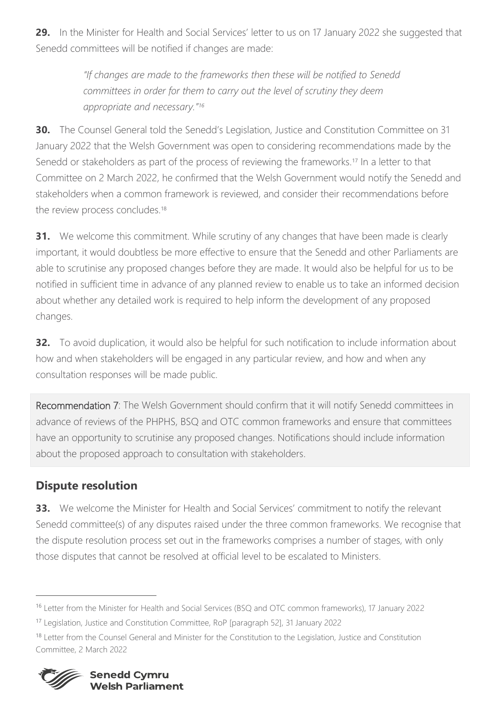**29.** In the Minister for Health and Social Services' letter to us on 17 January 2022 she suggested that Senedd committees will be notified if changes are made:

> *"If changes are made to the frameworks then these will be notified to Senedd committees in order for them to carry out the level of scrutiny they deem appropriate and necessary."<sup>16</sup>*

**30.** The Counsel General told the Senedd's Legislation, Justice and Constitution Committee on 31 January 2022 that the Welsh Government was open to considering recommendations made by the Senedd or stakeholders as part of the process of reviewing the frameworks.<sup>17</sup> In a letter to that Committee on 2 March 2022, he confirmed that the Welsh Government would notify the Senedd and stakeholders when a common framework is reviewed, and consider their recommendations before the review process concludes.<sup>18</sup>

**31.** We welcome this commitment. While scrutiny of any changes that have been made is clearly important, it would doubtless be more effective to ensure that the Senedd and other Parliaments are able to scrutinise any proposed changes before they are made. It would also be helpful for us to be notified in sufficient time in advance of any planned review to enable us to take an informed decision about whether any detailed work is required to help inform the development of any proposed changes.

**32.** To avoid duplication, it would also be helpful for such notification to include information about how and when stakeholders will be engaged in any particular review, and how and when any consultation responses will be made public.

Recommendation 7: The Welsh Government should confirm that it will notify Senedd committees in advance of reviews of the PHPHS, BSQ and OTC common frameworks and ensure that committees have an opportunity to scrutinise any proposed changes. Notifications should include information about the proposed approach to consultation with stakeholders.

## **Dispute resolution**

**33.** We welcome the Minister for Health and Social Services' commitment to notify the relevant Senedd committee(s) of any disputes raised under the three common frameworks. We recognise that the dispute resolution process set out in the frameworks comprises a number of stages, with only those disputes that cannot be resolved at official level to be escalated to Ministers.

<sup>&</sup>lt;sup>18</sup> Letter from the Counsel General and Minister for the Constitution to the Legislation, Justice and Constitution Committee, 2 March 2022



<sup>16</sup> Letter from the Minister for Health and Social Services (BSQ and OTC common frameworks), 17 January 2022

<sup>17</sup> Legislation, Justice and Constitution Committee, RoP [paragraph 52], 31 January 2022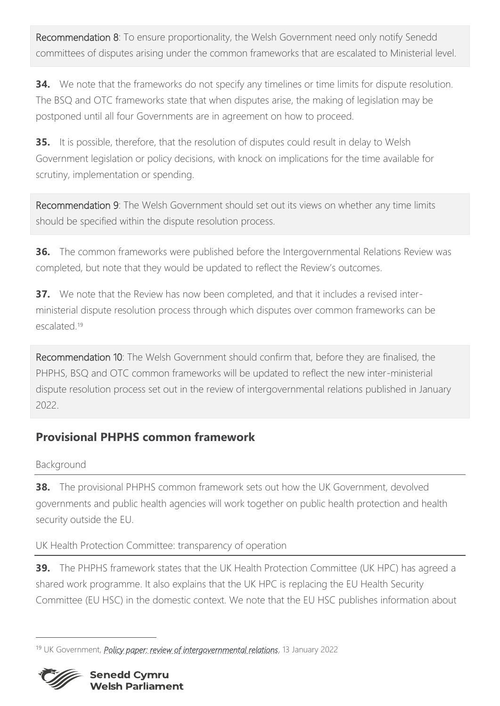Recommendation 8: To ensure proportionality, the Welsh Government need only notify Senedd committees of disputes arising under the common frameworks that are escalated to Ministerial level.

**34.** We note that the frameworks do not specify any timelines or time limits for dispute resolution. The BSQ and OTC frameworks state that when disputes arise, the making of legislation may be postponed until all four Governments are in agreement on how to proceed.

**35.** It is possible, therefore, that the resolution of disputes could result in delay to Welsh Government legislation or policy decisions, with knock on implications for the time available for scrutiny, implementation or spending.

Recommendation 9: The Welsh Government should set out its views on whether any time limits should be specified within the dispute resolution process.

**36.** The common frameworks were published before the Intergovernmental Relations Review was completed, but note that they would be updated to reflect the Review's outcomes.

**37.** We note that the Review has now been completed, and that it includes a revised interministerial dispute resolution process through which disputes over common frameworks can be escalated.<sup>19</sup>

Recommendation 10: The Welsh Government should confirm that, before they are finalised, the PHPHS, BSQ and OTC common frameworks will be updated to reflect the new inter-ministerial dispute resolution process set out in the review of intergovernmental relations published in January 2022.

## **Provisional PHPHS common framework**

Background

**38.** The provisional PHPHS common framework sets out how the UK Government, devolved governments and public health agencies will work together on public health protection and health security outside the EU.

UK Health Protection Committee: transparency of operation

**39.** The PHPHS framework states that the UK Health Protection Committee (UK HPC) has agreed a shared work programme. It also explains that the UK HPC is replacing the EU Health Security Committee (EU HSC) in the domestic context. We note that the EU HSC publishes information about

<sup>19</sup> UK Government, *[Policy paper: review of intergovernmental relations](https://www.gov.uk/government/publications/the-review-of-intergovernmental-relations)*, 13 January 2022

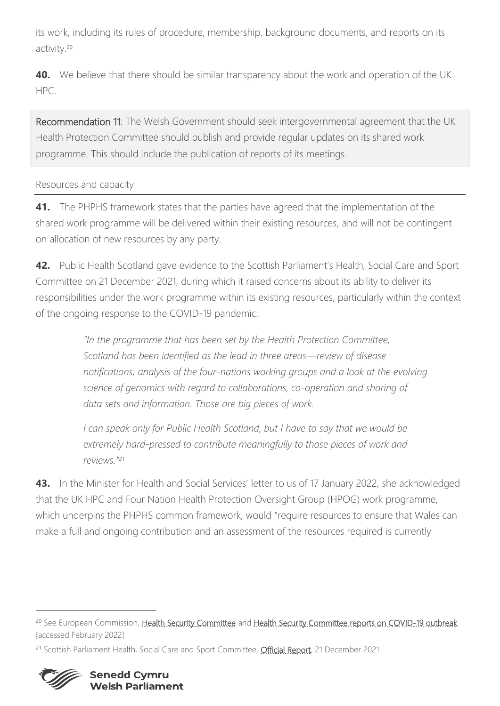its work, including its rules of procedure, membership, background documents, and reports on its activity.<sup>20</sup>

**40.** We believe that there should be similar transparency about the work and operation of the UK HPC.

Recommendation 11: The Welsh Government should seek intergovernmental agreement that the UK Health Protection Committee should publish and provide regular updates on its shared work programme. This should include the publication of reports of its meetings.

## Resources and capacity

**41.** The PHPHS framework states that the parties have agreed that the implementation of the shared work programme will be delivered within their existing resources, and will not be contingent on allocation of new resources by any party.

**42.** Public Health Scotland gave evidence to the Scottish Parliament's Health, Social Care and Sport Committee on 21 December 2021, during which it raised concerns about its ability to deliver its responsibilities under the work programme within its existing resources, particularly within the context of the ongoing response to the COVID-19 pandemic:

> *"In the programme that has been set by the Health Protection Committee, Scotland has been identified as the lead in three areas—review of disease notifications, analysis of the four-nations working groups and a look at the evolving science of genomics with regard to collaborations, co-operation and sharing of data sets and information. Those are big pieces of work.*

*I can speak only for Public Health Scotland, but I have to say that we would be extremely hard-pressed to contribute meaningfully to those pieces of work and reviews."<sup>21</sup>*

**43.** In the Minister for Health and Social Services' letter to us of 17 January 2022, she acknowledged that the UK HPC and Four Nation Health Protection Oversight Group (HPOG) work programme, which underpins the PHPHS common framework, would "require resources to ensure that Wales can make a full and ongoing contribution and an assessment of the resources required is currently

<sup>&</sup>lt;sup>21</sup> Scottish Parliament Health, Social Care and Sport Committee, [Official Report,](https://www.parliament.scot/chamber-and-committees/official-report/what-was-said-in-parliament/HSCS-21-12-2021?meeting=13495&iob=122490#orscontributions_C2368488) 21 December 2021



<sup>&</sup>lt;sup>20</sup> See European Commission, [Health Security Committee](https://ec.europa.eu/health/health-security-and-infectious-diseases/preparedness-and-response/health-security-committee-hsc_en) and [Health Security Committee reports on COVID-19 outbreak](https://ec.europa.eu/health/health-security-and-infectious-diseases/preparedness-and-response/health-security-committee-hsc/health-security-committee-reports-covid-19-outbreak_en) [accessed February 2022]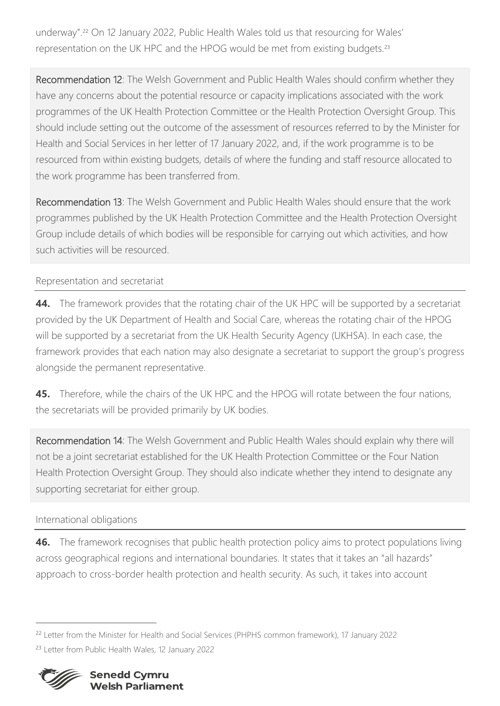underway".<sup>22</sup> On 12 January 2022, Public Health Wales told us that resourcing for Wales' representation on the UK HPC and the HPOG would be met from existing budgets.<sup>23</sup>

Recommendation 12: The Welsh Government and Public Health Wales should confirm whether they have any concerns about the potential resource or capacity implications associated with the work programmes of the UK Health Protection Committee or the Health Protection Oversight Group. This should include setting out the outcome of the assessment of resources referred to by the Minister for Health and Social Services in her letter of 17 January 2022, and, if the work programme is to be resourced from within existing budgets, details of where the funding and staff resource allocated to the work programme has been transferred from.

Recommendation 13: The Welsh Government and Public Health Wales should ensure that the work programmes published by the UK Health Protection Committee and the Health Protection Oversight Group include details of which bodies will be responsible for carrying out which activities, and how such activities will be resourced.

### Representation and secretariat

**44.** The framework provides that the rotating chair of the UK HPC will be supported by a secretariat provided by the UK Department of Health and Social Care, whereas the rotating chair of the HPOG will be supported by a secretariat from the UK Health Security Agency (UKHSA). In each case, the framework provides that each nation may also designate a secretariat to support the group's progress alongside the permanent representative.

**45.** Therefore, while the chairs of the UK HPC and the HPOG will rotate between the four nations, the secretariats will be provided primarily by UK bodies.

Recommendation 14: The Welsh Government and Public Health Wales should explain why there will not be a joint secretariat established for the UK Health Protection Committee or the Four Nation Health Protection Oversight Group. They should also indicate whether they intend to designate any supporting secretariat for either group.

### International obligations

**46.** The framework recognises that public health protection policy aims to protect populations living across geographical regions and international boundaries. It states that it takes an "all hazards" approach to cross-border health protection and health security. As such, it takes into account

<sup>&</sup>lt;sup>22</sup> Letter from the Minister for Health and Social Services (PHPHS common framework), 17 January 2022 <sup>23</sup> Letter from Public Health Wales, 12 January 2022

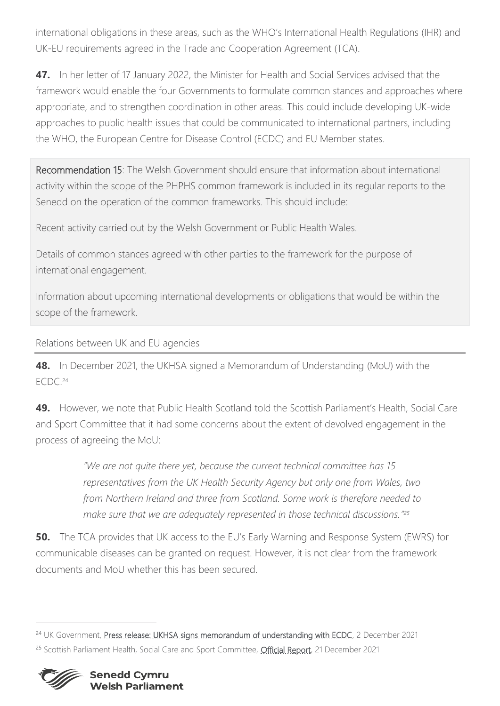international obligations in these areas, such as the WHO's International Health Regulations (IHR) and UK-EU requirements agreed in the Trade and Cooperation Agreement (TCA).

**47.** In her letter of 17 January 2022, the Minister for Health and Social Services advised that the framework would enable the four Governments to formulate common stances and approaches where appropriate, and to strengthen coordination in other areas. This could include developing UK-wide approaches to public health issues that could be communicated to international partners, including the WHO, the European Centre for Disease Control (ECDC) and EU Member states.

Recommendation 15: The Welsh Government should ensure that information about international activity within the scope of the PHPHS common framework is included in its regular reports to the Senedd on the operation of the common frameworks. This should include:

Recent activity carried out by the Welsh Government or Public Health Wales.

Details of common stances agreed with other parties to the framework for the purpose of international engagement.

Information about upcoming international developments or obligations that would be within the scope of the framework.

Relations between UK and EU agencies

**48.** In December 2021, the UKHSA signed a Memorandum of Understanding (MoU) with the ECDC. 24

**49.** However, we note that Public Health Scotland told the Scottish Parliament's Health, Social Care and Sport Committee that it had some concerns about the extent of devolved engagement in the process of agreeing the MoU:

> *"We are not quite there yet, because the current technical committee has 15 representatives from the UK Health Security Agency but only one from Wales, two from Northern Ireland and three from Scotland. Some work is therefore needed to make sure that we are adequately represented in those technical discussions." 25*

**50.** The TCA provides that UK access to the EU's Early Warning and Response System (EWRS) for communicable diseases can be granted on request. However, it is not clear from the framework documents and MoU whether this has been secured.

<sup>&</sup>lt;sup>24</sup> UK Government, [Press release: UKHSA signs memorandum of understanding with ECDC,](https://www.gov.uk/government/news/ukhsa-signs-memorandum-of-understanding-with-ecdc) 2 December 2021 <sup>25</sup> Scottish Parliament Health, Social Care and Sport Committee, *Official Report*, 21 December 2021

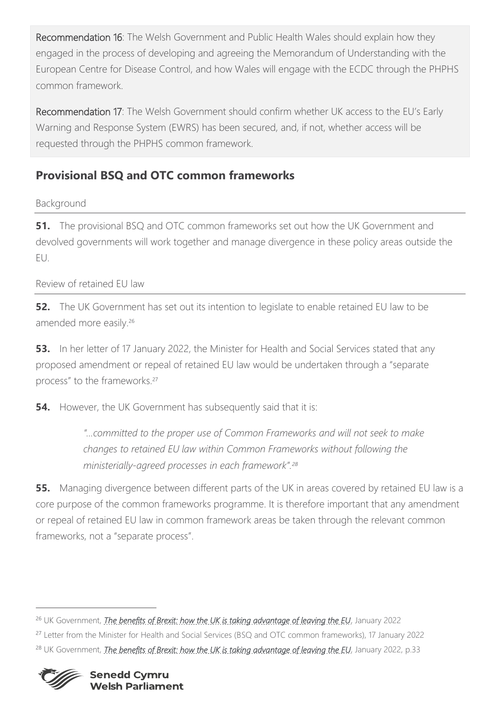Recommendation 16: The Welsh Government and Public Health Wales should explain how they engaged in the process of developing and agreeing the Memorandum of Understanding with the European Centre for Disease Control, and how Wales will engage with the ECDC through the PHPHS common framework.

Recommendation 17: The Welsh Government should confirm whether UK access to the EU's Early Warning and Response System (EWRS) has been secured, and, if not, whether access will be requested through the PHPHS common framework.

# **Provisional BSQ and OTC common frameworks**

## Background

**51.** The provisional BSQ and OTC common frameworks set out how the UK Government and devolved governments will work together and manage divergence in these policy areas outside the EU.

## Review of retained EU law

**52.** The UK Government has set out its intention to legislate to enable retained EU law to be amended more easily.<sup>26</sup>

**53.** In her letter of 17 January 2022, the Minister for Health and Social Services stated that any proposed amendment or repeal of retained EU law would be undertaken through a "separate process" to the frameworks.<sup>27</sup>

**54.** However, the UK Government has subsequently said that it is:

*"…committed to the proper use of Common Frameworks and will not seek to make changes to retained EU law within Common Frameworks without following the ministerially-agreed processes in each framework".<sup>28</sup>*

**55.** Managing divergence between different parts of the UK in areas covered by retained EU law is a core purpose of the common frameworks programme. It is therefore important that any amendment or repeal of retained EU law in common framework areas be taken through the relevant common frameworks, not a "separate process".

<sup>&</sup>lt;sup>26</sup> UK Government, *[The benefits of Brexit: how the UK is taking advantage of leaving the EU](https://assets.publishing.service.gov.uk/government/uploads/system/uploads/attachment_data/file/1054643/benefits-of-brexit.pdf)*, January 2022 <sup>27</sup> Letter from the Minister for Health and Social Services (BSQ and OTC common frameworks), 17 January 2022 <sup>28</sup> UK Government, *[The benefits of Brexit: how the UK is taking advantage of leaving the EU](https://assets.publishing.service.gov.uk/government/uploads/system/uploads/attachment_data/file/1054643/benefits-of-brexit.pdf)*, January 2022, p.33

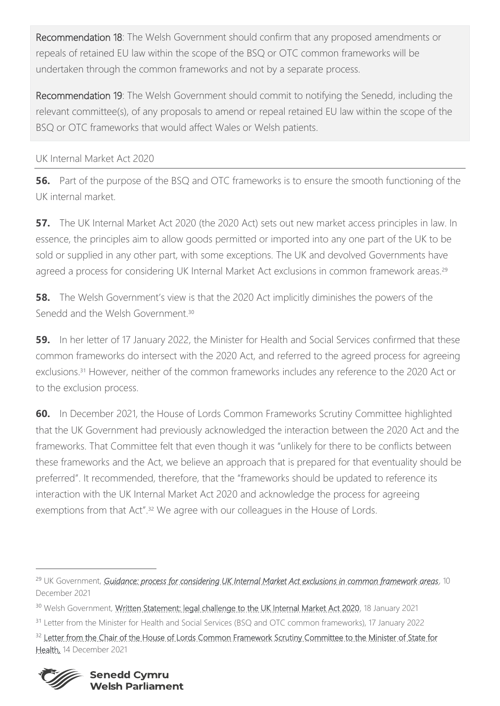Recommendation 18: The Welsh Government should confirm that any proposed amendments or repeals of retained EU law within the scope of the BSQ or OTC common frameworks will be undertaken through the common frameworks and not by a separate process.

Recommendation 19: The Welsh Government should commit to notifying the Senedd, including the relevant committee(s), of any proposals to amend or repeal retained EU law within the scope of the BSQ or OTC frameworks that would affect Wales or Welsh patients.

### UK Internal Market Act 2020

**56.** Part of the purpose of the BSQ and OTC frameworks is to ensure the smooth functioning of the UK internal market.

**57.** The UK Internal Market Act 2020 (the 2020 Act) sets out new market access principles in law. In essence, the principles aim to allow goods permitted or imported into any one part of the UK to be sold or supplied in any other part, with some exceptions. The UK and devolved Governments have agreed a process for considering UK Internal Market Act exclusions in common framework areas.<sup>29</sup>

**58.** The Welsh Government's view is that the 2020 Act implicitly diminishes the powers of the Senedd and the Welsh Government<sup>30</sup>

**59.** In her letter of 17 January 2022, the Minister for Health and Social Services confirmed that these common frameworks do intersect with the 2020 Act, and referred to the agreed process for agreeing exclusions.<sup>31</sup> However, neither of the common frameworks includes any reference to the 2020 Act or to the exclusion process.

**60.** In December 2021, the House of Lords Common Frameworks Scrutiny Committee highlighted that the UK Government had previously acknowledged the interaction between the 2020 Act and the frameworks. That Committee felt that even though it was "unlikely for there to be conflicts between these frameworks and the Act, we believe an approach that is prepared for that eventuality should be preferred". It recommended, therefore, that the "frameworks should be updated to reference its interaction with the UK Internal Market Act 2020 and acknowledge the process for agreeing exemptions from that Act".<sup>32</sup> We agree with our colleagues in the House of Lords.

<sup>&</sup>lt;sup>32</sup> Letter from the Chair of the House of Lords Common Framework Scrutiny Committee to the Minister of State for [Health,](https://committees.parliament.uk/publications/8242/documents/84234/default/) 14 December 2021



<sup>29</sup> UK Government, *[Guidance: process for considering UK Internal Market Act exclusions in common framework areas](https://www.gov.uk/government/publications/process-for-considering-ukim-act-exclusions-in-common-framework-areas/process-for-considering-uk-internal-market-act-exclusions-in-common-framework-areas)*, 10 December 2021

<sup>&</sup>lt;sup>30</sup> Welsh Government, [Written Statement: legal challenge to the UK Internal Market Act 2020,](https://gov.wales/written-statement-legal-challenge-uk-internal-market-act-2020) 18 January 2021

<sup>&</sup>lt;sup>31</sup> Letter from the Minister for Health and Social Services (BSQ and OTC common frameworks), 17 January 2022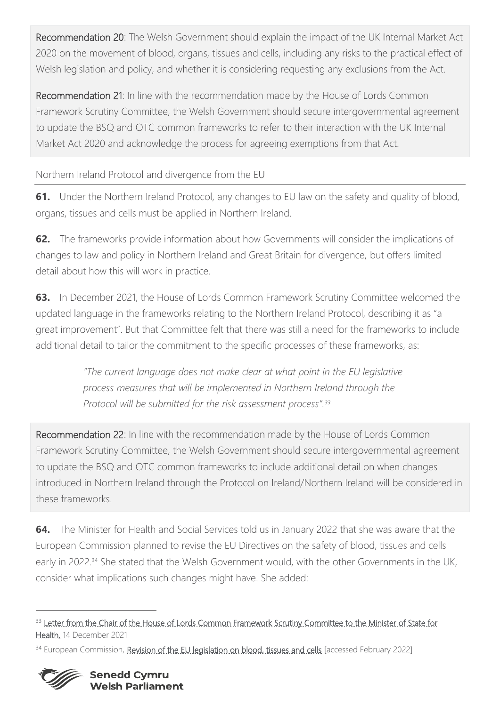Recommendation 20: The Welsh Government should explain the impact of the UK Internal Market Act 2020 on the movement of blood, organs, tissues and cells, including any risks to the practical effect of Welsh legislation and policy, and whether it is considering requesting any exclusions from the Act.

Recommendation 21: In line with the recommendation made by the House of Lords Common Framework Scrutiny Committee, the Welsh Government should secure intergovernmental agreement to update the BSQ and OTC common frameworks to refer to their interaction with the UK Internal Market Act 2020 and acknowledge the process for agreeing exemptions from that Act.

Northern Ireland Protocol and divergence from the EU

**61.** Under the Northern Ireland Protocol, any changes to EU law on the safety and quality of blood, organs, tissues and cells must be applied in Northern Ireland.

**62.** The frameworks provide information about how Governments will consider the implications of changes to law and policy in Northern Ireland and Great Britain for divergence, but offers limited detail about how this will work in practice.

**63.** In December 2021, the House of Lords Common Framework Scrutiny Committee welcomed the updated language in the frameworks relating to the Northern Ireland Protocol, describing it as "a great improvement". But that Committee felt that there was still a need for the frameworks to include additional detail to tailor the commitment to the specific processes of these frameworks, as:

> *"The current language does not make clear at what point in the EU legislative process measures that will be implemented in Northern Ireland through the Protocol will be submitted for the risk assessment process".<sup>33</sup>*

Recommendation 22: In line with the recommendation made by the House of Lords Common Framework Scrutiny Committee, the Welsh Government should secure intergovernmental agreement to update the BSQ and OTC common frameworks to include additional detail on when changes introduced in Northern Ireland through the Protocol on Ireland/Northern Ireland will be considered in these frameworks.

**64.** The Minister for Health and Social Services told us in January 2022 that she was aware that the European Commission planned to revise the EU Directives on the safety of blood, tissues and cells early in 2022.<sup>34</sup> She stated that the Welsh Government would, with the other Governments in the UK, consider what implications such changes might have. She added:

<sup>&</sup>lt;sup>33</sup> Letter from the Chair of the House of Lords Common Framework Scrutiny Committee to the Minister of State for [Health,](https://committees.parliament.uk/publications/8242/documents/84234/default/) 14 December 2021

<sup>&</sup>lt;sup>34</sup> European Commission, [Revision of the EU legislation on blood, tissues and cells](https://ec.europa.eu/health/blood-tissues-cells-and-organs/overview/revision-eu-legislation-blood-tissues-and-cells_en) [accessed February 2022]